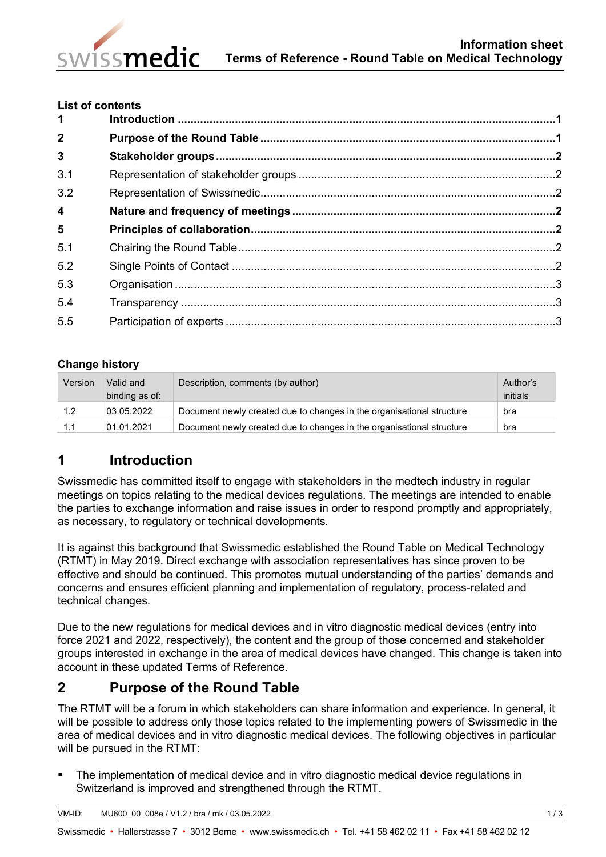

#### **List of contents**

| 1                       |  |
|-------------------------|--|
| $\overline{2}$          |  |
| $\overline{3}$          |  |
| 3.1                     |  |
| 3.2                     |  |
| $\overline{\mathbf{4}}$ |  |
| $5\phantom{1}$          |  |
| 5.1                     |  |
| 5.2                     |  |
| 5.3                     |  |
| 5.4                     |  |
| 5.5                     |  |
|                         |  |

## **Change history**

| Version | Valid and      | Description, comments (by author)                                     | Author's |
|---------|----------------|-----------------------------------------------------------------------|----------|
|         | binding as of: |                                                                       | initials |
| 1.2     | 03.05.2022     | Document newly created due to changes in the organisational structure | bra      |
| 1.1     | 01.01.2021     | Document newly created due to changes in the organisational structure | bra      |

# <span id="page-0-0"></span>**1 Introduction**

Swissmedic has committed itself to engage with stakeholders in the medtech industry in regular meetings on topics relating to the medical devices regulations. The meetings are intended to enable the parties to exchange information and raise issues in order to respond promptly and appropriately, as necessary, to regulatory or technical developments.

It is against this background that Swissmedic established the Round Table on Medical Technology (RTMT) in May 2019. Direct exchange with association representatives has since proven to be effective and should be continued. This promotes mutual understanding of the parties' demands and concerns and ensures efficient planning and implementation of regulatory, process-related and technical changes.

Due to the new regulations for medical devices and in vitro diagnostic medical devices (entry into force 2021 and 2022, respectively), the content and the group of those concerned and stakeholder groups interested in exchange in the area of medical devices have changed. This change is taken into account in these updated Terms of Reference.

# <span id="page-0-1"></span>**2 Purpose of the Round Table**

The RTMT will be a forum in which stakeholders can share information and experience. In general, it will be possible to address only those topics related to the implementing powers of Swissmedic in the area of medical devices and in vitro diagnostic medical devices. The following objectives in particular will be pursued in the RTMT:

 The implementation of medical device and in vitro diagnostic medical device regulations in Switzerland is improved and strengthened through the RTMT.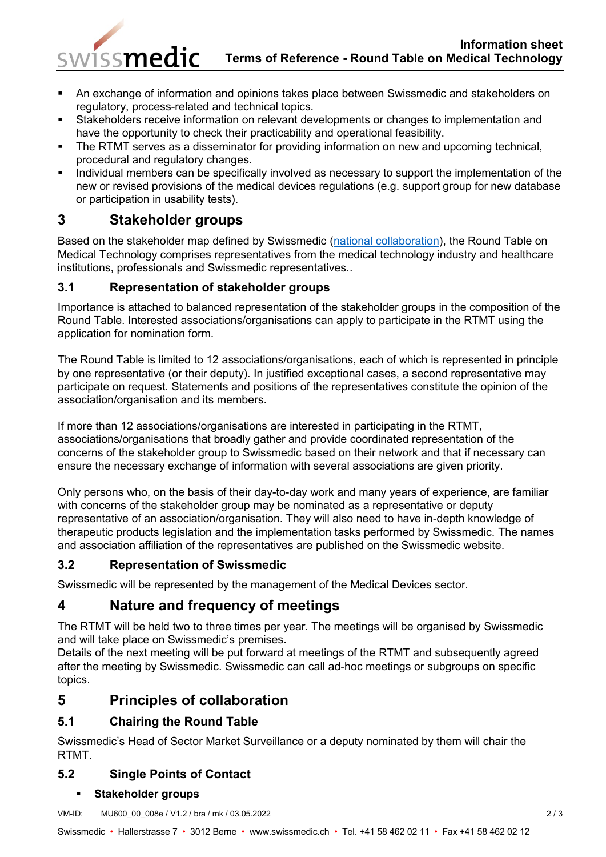### **Information sheet Terms of Reference - Round Table on Medical Technology**

- An exchange of information and opinions takes place between Swissmedic and stakeholders on regulatory, process-related and technical topics.
- Stakeholders receive information on relevant developments or changes to implementation and have the opportunity to check their practicability and operational feasibility.
- The RTMT serves as a disseminator for providing information on new and upcoming technical, procedural and regulatory changes.
- Individual members can be specifically involved as necessary to support the implementation of the new or revised provisions of the medical devices regulations (e.g. support group for new database or participation in usability tests).

# <span id="page-1-0"></span>**3 Stakeholder groups**

swissmedic

Based on the stakeholder map defined by Swissmedic [\(national collaboration\)](https://www.swissmedic.ch/swissmedic/en/home/about-us/nationale-zusammenarbeit.html), the Round Table on Medical Technology comprises representatives from the medical technology industry and healthcare institutions, professionals and Swissmedic representatives..

## <span id="page-1-1"></span>**3.1 Representation of stakeholder groups**

Importance is attached to balanced representation of the stakeholder groups in the composition of the Round Table. Interested associations/organisations can apply to participate in the RTMT using the application for nomination form.

The Round Table is limited to 12 associations/organisations, each of which is represented in principle by one representative (or their deputy). In justified exceptional cases, a second representative may participate on request. Statements and positions of the representatives constitute the opinion of the association/organisation and its members.

If more than 12 associations/organisations are interested in participating in the RTMT, associations/organisations that broadly gather and provide coordinated representation of the concerns of the stakeholder group to Swissmedic based on their network and that if necessary can ensure the necessary exchange of information with several associations are given priority.

Only persons who, on the basis of their day-to-day work and many years of experience, are familiar with concerns of the stakeholder group may be nominated as a representative or deputy representative of an association/organisation. They will also need to have in-depth knowledge of therapeutic products legislation and the implementation tasks performed by Swissmedic. The names and association affiliation of the representatives are published on the Swissmedic website.

# <span id="page-1-2"></span>**3.2 Representation of Swissmedic**

Swissmedic will be represented by the management of the Medical Devices sector.

# <span id="page-1-3"></span>**4 Nature and frequency of meetings**

The RTMT will be held two to three times per year. The meetings will be organised by Swissmedic and will take place on Swissmedic's premises.

Details of the next meeting will be put forward at meetings of the RTMT and subsequently agreed after the meeting by Swissmedic. Swissmedic can call ad-hoc meetings or subgroups on specific topics.

# <span id="page-1-4"></span>**5 Principles of collaboration**

# <span id="page-1-5"></span>**5.1 Chairing the Round Table**

Swissmedic's Head of Sector Market Surveillance or a deputy nominated by them will chair the RTMT.

# <span id="page-1-6"></span>**5.2 Single Points of Contact**

## **Stakeholder groups**

| .<br>$\sim$<br>$\overline{\phantom{0}}$<br>$\overline{\phantom{a}}$ | VM-ID: | $1$ V1.2 / bra<br>MU600 00 008e<br>03.05.2022<br>mk / |  |
|---------------------------------------------------------------------|--------|-------------------------------------------------------|--|
|---------------------------------------------------------------------|--------|-------------------------------------------------------|--|